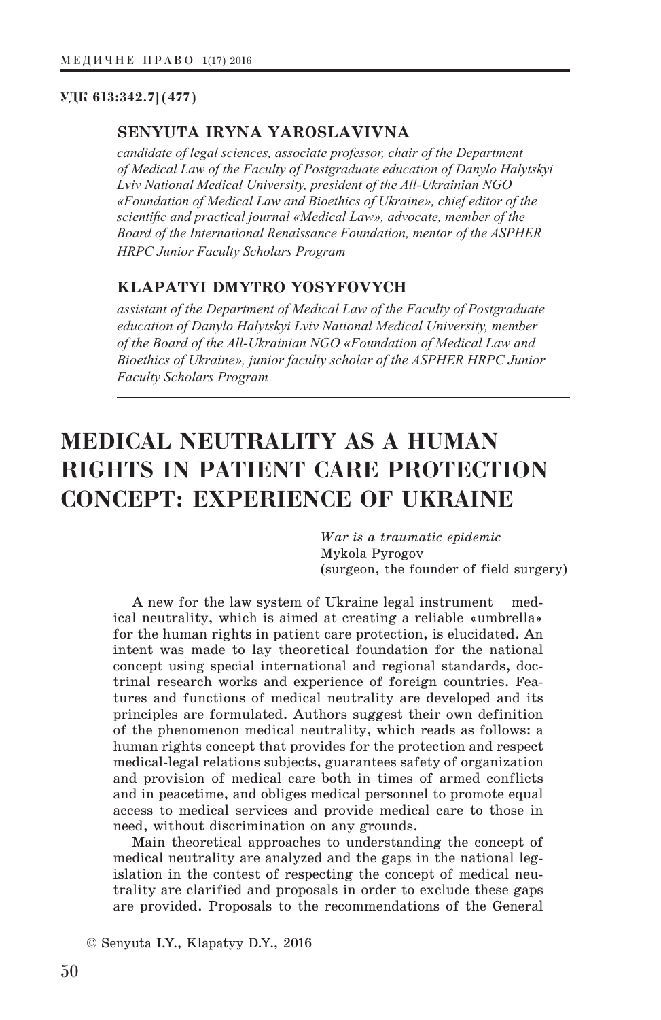#### **УДК 613:342.7](477)**

### **SENYUTA IRYNA YAROSLAVIVNA**

*candidate of legal sciences, associate professor, chair of the Department of Medical Law of the Faculty of Postgraduate education of Danylo Halytskyi Lviv National Medical University, president of the All-Ukrainian NGO «Foundation of Medical Law and Bioethics of Ukraine», chief editor of the scientific and practical journal «Medical Law», advocate, member of the Board of the International Renaissance Foundation, mentor of the ASPHER HRPC Junior Faculty Scholars Program*

# **KLAPATYI DMYTRO YOSYFOVYCH**

*assistant of the Department of Medical Law of the Faculty of Postgraduate education of Danylo Halytskyi Lviv National Medical University, member of the Board of the All-Ukrainian NGO «Foundation of Medical Law and Bioethics of Ukraine», junior faculty scholar of the ASPHER HRPC Junior Faculty Scholars Program*

# **MEDICAL NEUTRALITY AS A HUMAN RIGHTS IN PATIENT CARE PROTECTION CONCEPT: EXPERIENCE OF UKRAINE**

*War is a traumatic epidemic*  Mykola Pyrogov (surgeon, the founder of field surgery)

A new for the law system of Ukraine legal instrument – medical neutrality, which is aimed at creating a reliable «umbrella» for the human rights in patient care protection, is elucidated. An intent was made to lay theoretical foundation for the national concept using special international and regional standards, doctrinal research works and experience of foreign countries. Features and functions of medical neutrality are developed and its principles are formulated. Authors suggest their own definition of the phenomenon medical neutrality, which reads as follows: a human rights concept that provides for the protection and respect medical-legal relations subjects, guarantees safety of organization and provision of medical care both in times of armed conflicts and in peacetime, and obliges medical personnel to promote equal access to medical services and provide medical care to those in need, without discrimination on any grounds.

Main theoretical approaches to understanding the concept of medical neutrality are analyzed and the gaps in the national legislation in the contest of respecting the concept of medical neutrality are clarified and proposals in order to exclude these gaps are provided. Proposals to the recommendations of the General

© Senyuta I.Y., Klapatyy D.Y., 2016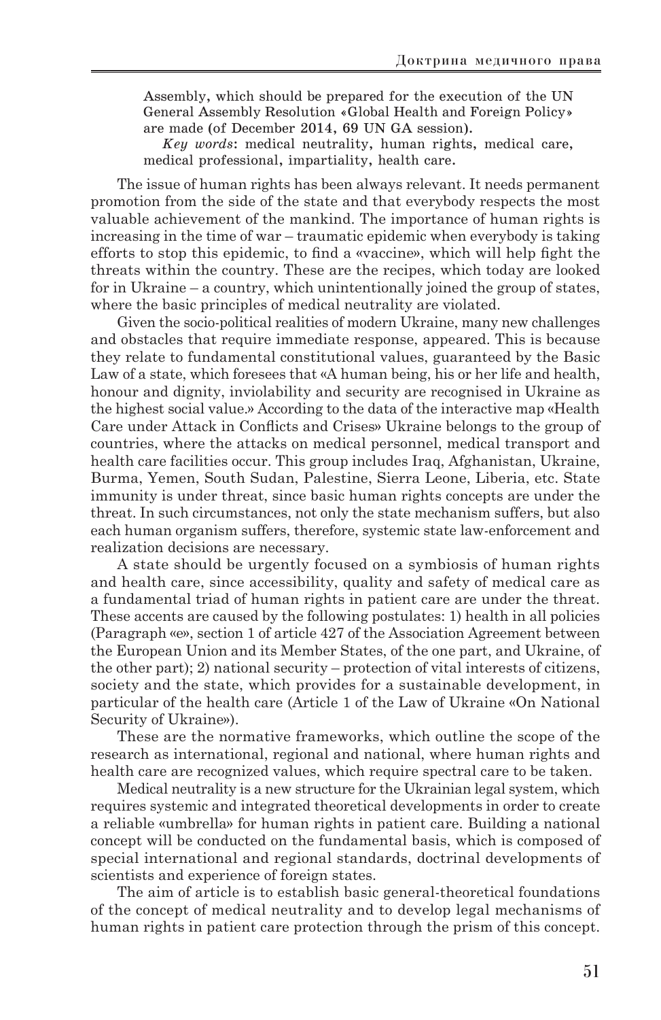Assembly, which should be prepared for the execution of the UN General Assembly Resolution «Global Health and Foreign Policy» are made (of December 2014, 69 UN GA session).

*Key words*: medical neutrality, human rights, medical care, medical professional, impartiality, health care.

The issue of human rights has been always relevant. It needs permanent promotion from the side of the state and that everybody respects the most valuable achievement of the mankind. The importance of human rights is increasing in the time of war – traumatic epidemic when everybody is taking efforts to stop this epidemic, to find a «vaccine», which will help fight the threats within the country. These are the recipes, which today are looked for in Ukraine – a country, which unintentionally joined the group of states, where the basic principles of medical neutrality are violated.

Given the socio-political realities of modern Ukraine, many new challenges and obstacles that require immediate response, appeared. This is because they relate to fundamental constitutional values, guaranteed by the Basic Law of a state, which foresees that «A human being, his or her life and health, honour and dignity, inviolability and security are recognised in Ukraine as the highest social value.» According to the data of the interactive map «Health Care under Attack in Conflicts and Crises» Ukraine belongs to the group of countries, where the attacks on medical personnel, medical transport and health care facilities occur. This group includes Iraq, Afghanistan, Ukraine, Burma, Yemen, South Sudan, Palestine, Sierra Leone, Liberia, etc. State immunity is under threat, since basic human rights concepts are under the threat. In such circumstances, not only the state mechanism suffers, but also each human organism suffers, therefore, systemic state law-enforcement and realization decisions are necessary.

A state should be urgently focused on a symbiosis of human rights and health care, since accessibility, quality and safety of medical care as a fundamental triad of human rights in patient care are under the threat. These accents are caused by the following postulates: 1) health in all policies (Paragraph «e», section 1 of article 427 of the Association Agreement between the European Union and its Member States, of the one part, and Ukraine, of the other part); 2) national security – protection of vital interests of citizens, society and the state, which provides for a sustainable development, in particular of the health care (Article 1 of the Law of Ukraine «On National Security of Ukraine»).

These are the normative frameworks, which outline the scope of the research as international, regional and national, where human rights and health care are recognized values, which require spectral care to be taken.

Medical neutrality is a new structure for the Ukrainian legal system, which requires systemic and integrated theoretical developments in order to create a reliable «umbrella» for human rights in patient care. Building a national concept will be conducted on the fundamental basis, which is composed of special international and regional standards, doctrinal developments of scientists and experience of foreign states.

The aim of article is to establish basic general-theoretical foundations of the concept of medical neutrality and to develop legal mechanisms of human rights in patient care protection through the prism of this concept.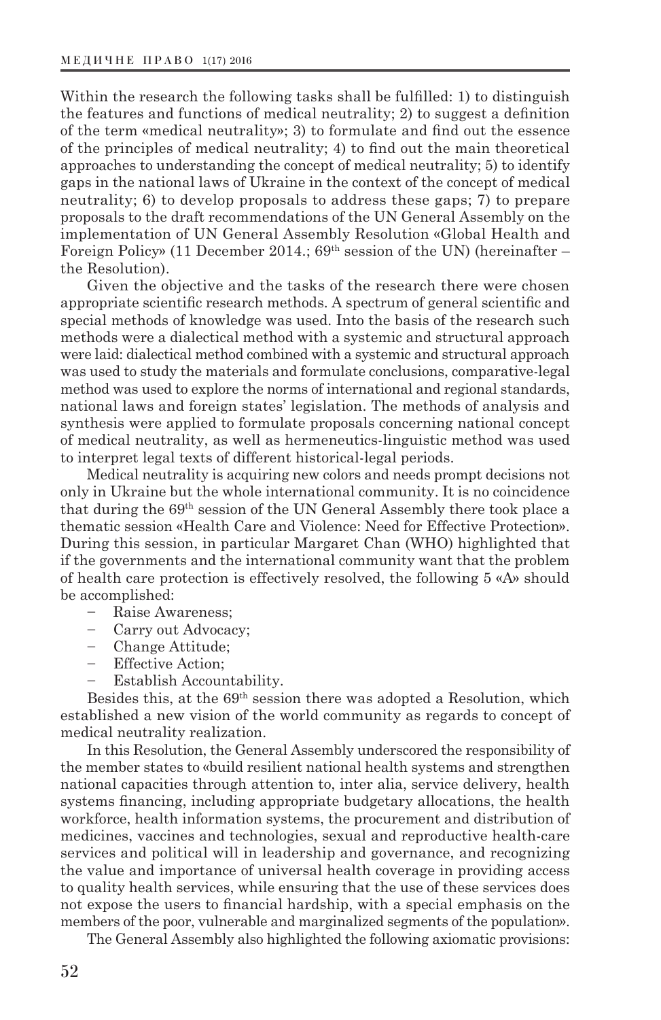Within the research the following tasks shall be fulfilled: 1) to distinguish the features and functions of medical neutrality; 2) to suggest a definition of the term «medical neutrality»; 3) to formulate and find out the essence of the principles of medical neutrality; 4) to find out the main theoretical approaches to understanding the concept of medical neutrality; 5) to identify gaps in the national laws of Ukraine in the context of the concept of medical neutrality; 6) to develop proposals to address these gaps; 7) to prepare proposals to the draft recommendations of the UN General Assembly on the implementation of UN General Assembly Resolution «Global Health and Foreign Policy» (11 December 2014.;  $69<sup>th</sup>$  session of the UN) (hereinafter – the Resolution).

Given the objective and the tasks of the research there were chosen appropriate scientific research methods. A spectrum of general scientific and special methods of knowledge was used. Into the basis of the research such methods were a dialectical method with a systemic and structural approach were laid: dialectical method combined with a systemic and structural approach was used to study the materials and formulate conclusions, comparative-legal method was used to explore the norms of international and regional standards, national laws and foreign states' legislation. The methods of analysis and synthesis were applied to formulate proposals concerning national concept of medical neutrality, as well as hermeneutics-linguistic method was used to interpret legal texts of different historical-legal periods.

Medical neutrality is acquiring new colors and needs prompt decisions not only in Ukraine but the whole international community. It is no coincidence that during the 69th session of the UN General Assembly there took place a thematic session «Health Care and Violence: Need for Effective Protection». During this session, in particular Margaret Chan (WHO) highlighted that if the governments and the international community want that the problem of health care protection is effectively resolved, the following 5 «A» should be accomplished:

- Raise Awareness;
- Carry out Advocacy;
- Change Attitude;
- Effective Action;
- Establish Accountability.

Besides this, at the 69th session there was adopted a Resolution, which established a new vision of the world community as regards to concept of medical neutrality realization.

In this Resolution, the General Assembly underscored the responsibility of the member states to «build resilient national health systems and strengthen national capacities through attention to, inter alia, service delivery, health systems financing, including appropriate budgetary allocations, the health workforce, health information systems, the procurement and distribution of medicines, vaccines and technologies, sexual and reproductive health-care services and political will in leadership and governance, and recognizing the value and importance of universal health coverage in providing access to quality health services, while ensuring that the use of these services does not expose the users to financial hardship, with a special emphasis on the members of the poor, vulnerable and marginalized segments of the population».

The General Assembly also highlighted the following axiomatic provisions: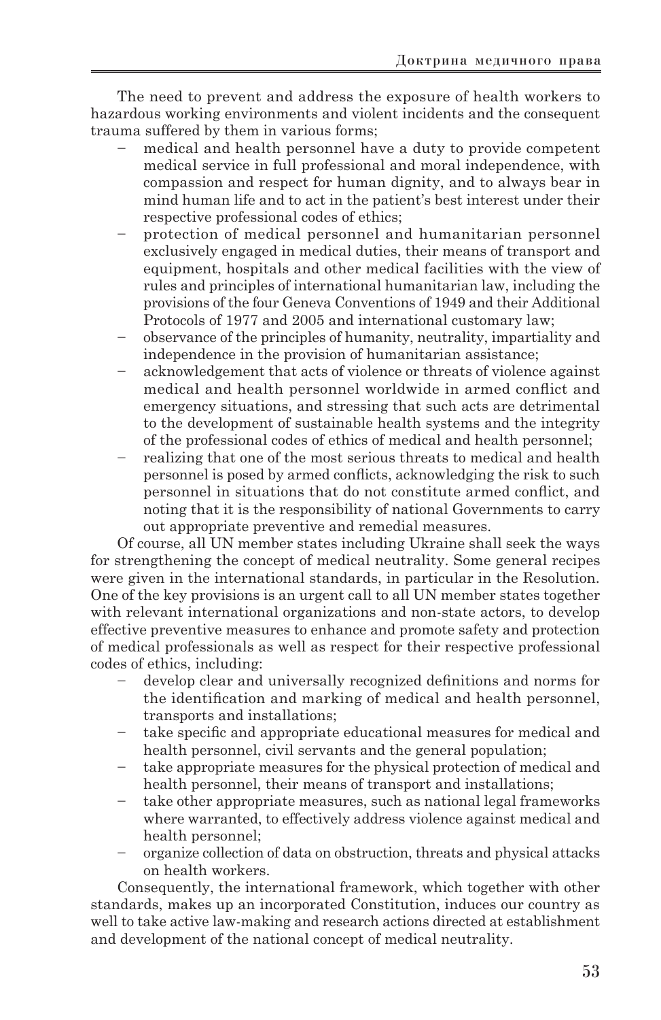The need to prevent and address the exposure of health workers to hazardous working environments and violent incidents and the consequent trauma suffered by them in various forms;

- medical and health personnel have a duty to provide competent medical service in full professional and moral independence, with compassion and respect for human dignity, and to always bear in mind human life and to act in the patient's best interest under their respective professional codes of ethics;
- protection of medical personnel and humanitarian personnel exclusively engaged in medical duties, their means of transport and equipment, hospitals and other medical facilities with the view of rules and principles of international humanitarian law, including the provisions of the four Geneva Conventions of 1949 and their Additional Protocols of 1977 and 2005 and international customary law;
- observance of the principles of humanity, neutrality, impartiality and independence in the provision of humanitarian assistance;
- acknowledgement that acts of violence or threats of violence against medical and health personnel worldwide in armed conflict and emergency situations, and stressing that such acts are detrimental to the development of sustainable health systems and the integrity of the professional codes of ethics of medical and health personnel;
- realizing that one of the most serious threats to medical and health personnel is posed by armed conflicts, acknowledging the risk to such personnel in situations that do not constitute armed conflict, and noting that it is the responsibility of national Governments to carry out appropriate preventive and remedial measures.

Of course, all UN member states including Ukraine shall seek the ways for strengthening the concept of medical neutrality. Some general recipes were given in the international standards, in particular in the Resolution. One of the key provisions is an urgent call to all UN member states together with relevant international organizations and non-state actors, to develop effective preventive measures to enhance and promote safety and protection of medical professionals as well as respect for their respective professional codes of ethics, including:

- develop clear and universally recognized definitions and norms for the identification and marking of medical and health personnel, transports and installations;
- take specific and appropriate educational measures for medical and health personnel, civil servants and the general population;
- take appropriate measures for the physical protection of medical and health personnel, their means of transport and installations;
- take other appropriate measures, such as national legal frameworks where warranted, to effectively address violence against medical and health personnel;
- organize collection of data on obstruction, threats and physical attacks on health workers.

Consequently, the international framework, which together with other standards, makes up an incorporated Constitution, induces our country as well to take active law-making and research actions directed at establishment and development of the national concept of medical neutrality.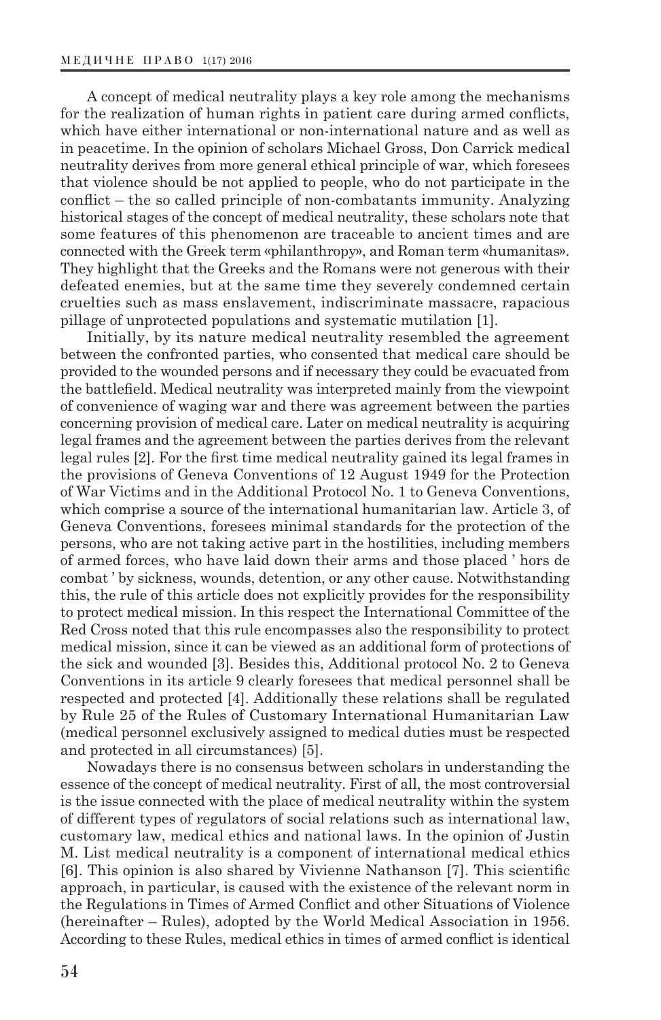A concept of medical neutrality plays a key role among the mechanisms for the realization of human rights in patient care during armed conflicts, which have either international or non-international nature and as well as in peacetime. In the opinion of scholars Michael Gross, Don Carrick medical neutrality derives from more general ethical principle of war, which foresees that violence should be not applied to people, who do not participate in the conflict – the so called principle of non-combatants immunity. Analyzing historical stages of the concept of medical neutrality, these scholars note that some features of this phenomenon are traceable to ancient times and are connected with the Greek term «philanthropy», and Roman term «humanitas». They highlight that the Greeks and the Romans were not generous with their defeated enemies, but at the same time they severely condemned certain cruelties such as mass enslavement, indiscriminate massacre, rapacious pillage of unprotected populations and systematic mutilation [1].

Initially, by its nature medical neutrality resembled the agreement between the confronted parties, who consented that medical care should be provided to the wounded persons and if necessary they could be evacuated from the battlefield. Medical neutrality was interpreted mainly from the viewpoint of convenience of waging war and there was agreement between the parties concerning provision of medical care. Later on medical neutrality is acquiring legal frames and the agreement between the parties derives from the relevant legal rules [2]. For the first time medical neutrality gained its legal frames in the provisions of Geneva Conventions of 12 August 1949 for the Protection of War Victims and in the Additional Protocol No. 1 to Geneva Conventions, which comprise a source of the international humanitarian law. Article 3, of Geneva Conventions, foresees minimal standards for the protection of the persons, who are not taking active part in the hostilities, including members of armed forces, who have laid down their arms and those placed ' hors de combat ' by sickness, wounds, detention, or any other cause. Notwithstanding this, the rule of this article does not explicitly provides for the responsibility to protect medical mission. In this respect the International Committee of the Red Cross noted that this rule encompasses also the responsibility to protect medical mission, since it can be viewed as an additional form of protections of the sick and wounded [3]. Besides this, Additional protocol No. 2 to Geneva Conventions in its article 9 clearly foresees that medical personnel shall be respected and protected [4]. Additionally these relations shall be regulated by Rule 25 of the Rules of Customary International Humanitarian Law (medical personnel exclusively assigned to medical duties must be respected and protected in all circumstances) [5].

Nowadays there is no consensus between scholars in understanding the essence of the concept of medical neutrality. First of all, the most controversial is the issue connected with the place of medical neutrality within the system of different types of regulators of social relations such as international law, customary law, medical ethics and national laws. In the opinion of Justin M. List medical neutrality is a component of international medical ethics [6]. This opinion is also shared by Vivienne Nathanson [7]. This scientific approach, in particular, is caused with the existence of the relevant norm in the Regulations in Times of Armed Conflict and other Situations of Violence (hereinafter – Rules), adopted by the World Medical Association in 1956. According to these Rules, medical ethics in times of armed conflict is identical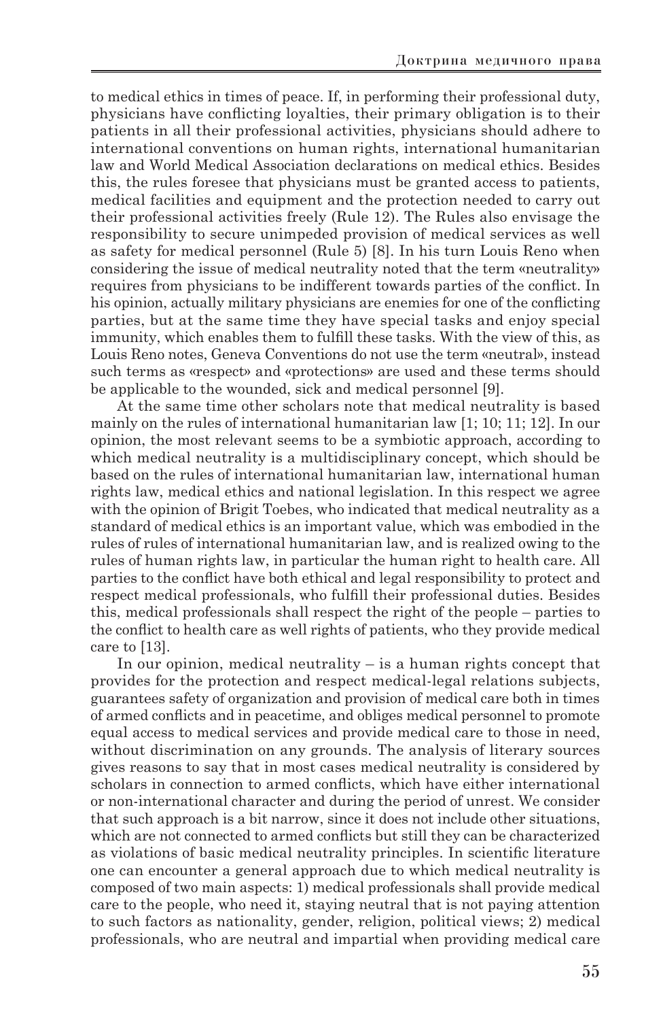to medical ethics in times of peace. If, in performing their professional duty, physicians have conflicting loyalties, their primary obligation is to their patients in all their professional activities, physicians should adhere to international conventions on human rights, international humanitarian law and World Medical Association declarations on medical ethics. Besides this, the rules foresee that physicians must be granted access to patients, medical facilities and equipment and the protection needed to carry out their professional activities freely (Rule 12). The Rules also envisage the responsibility to secure unimpeded provision of medical services as well as safety for medical personnel (Rule 5) [8]. In his turn Louis Reno when considering the issue of medical neutrality noted that the term «neutrality» requires from physicians to be indifferent towards parties of the conflict. In his opinion, actually military physicians are enemies for one of the conflicting parties, but at the same time they have special tasks and enjoy special immunity, which enables them to fulfill these tasks. With the view of this, as Louis Reno notes, Geneva Conventions do not use the term «neutral», instead such terms as «respect» and «protections» are used and these terms should be applicable to the wounded, sick and medical personnel [9].

At the same time other scholars note that medical neutrality is based mainly on the rules of international humanitarian law [1; 10; 11; 12]. In our opinion, the most relevant seems to be a symbiotic approach, according to which medical neutrality is a multidisciplinary concept, which should be based on the rules of international humanitarian law, international human rights law, medical ethics and national legislation. In this respect we agree with the opinion of Brigit Toebes, who indicated that medical neutrality as a standard of medical ethics is an important value, which was embodied in the rules of rules of international humanitarian law, and is realized owing to the rules of human rights law, in particular the human right to health care. All parties to the conflict have both ethical and legal responsibility to protect and respect medical professionals, who fulfill their professional duties. Besides this, medical professionals shall respect the right of the people – parties to the conflict to health care as well rights of patients, who they provide medical care to [13].

In our opinion, medical neutrality – is a human rights concept that provides for the protection and respect medical-legal relations subjects, guarantees safety of organization and provision of medical care both in times of armed conflicts and in peacetime, and obliges medical personnel to promote equal access to medical services and provide medical care to those in need, without discrimination on any grounds. The analysis of literary sources gives reasons to say that in most cases medical neutrality is considered by scholars in connection to armed conflicts, which have either international or non-international character and during the period of unrest. We consider that such approach is a bit narrow, since it does not include other situations, which are not connected to armed conflicts but still they can be characterized as violations of basic medical neutrality principles. In scientific literature one can encounter a general approach due to which medical neutrality is composed of two main aspects: 1) medical professionals shall provide medical care to the people, who need it, staying neutral that is not paying attention to such factors as nationality, gender, religion, political views; 2) medical professionals, who are neutral and impartial when providing medical care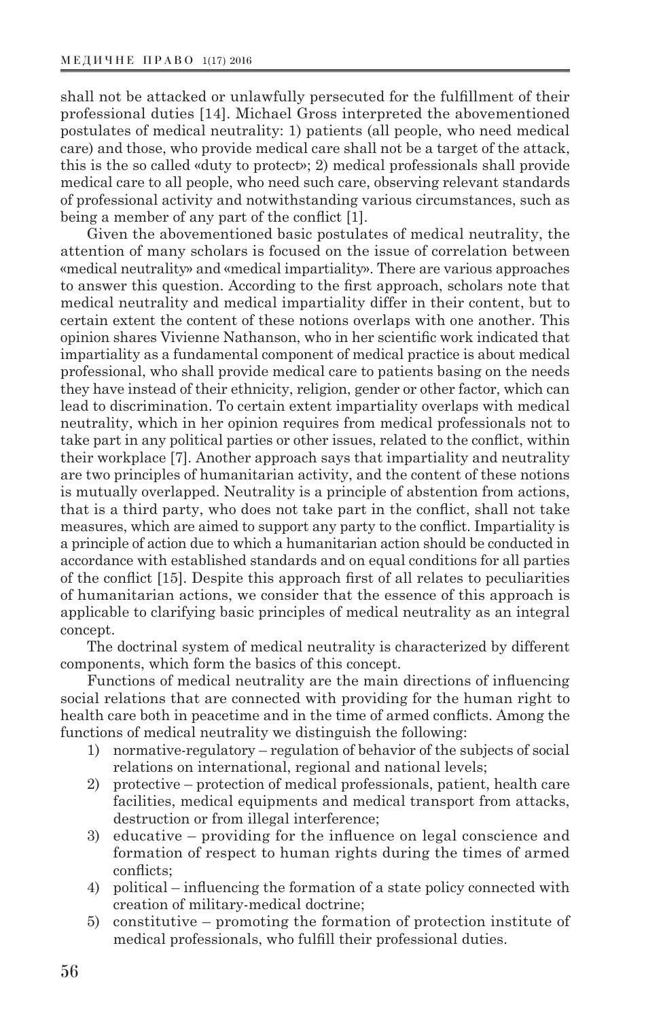shall not be attacked or unlawfully persecuted for the fulfillment of their professional duties [14]. Michael Gross interpreted the abovementioned postulates of medical neutrality: 1) patients (all people, who need medical care) and those, who provide medical care shall not be a target of the attack, this is the so called «duty to protect»; 2) medical professionals shall provide medical care to all people, who need such care, observing relevant standards of professional activity and notwithstanding various circumstances, such as being a member of any part of the conflict [1].

Given the abovementioned basic postulates of medical neutrality, the attention of many scholars is focused on the issue of correlation between «medical neutrality» and «medical impartiality». There are various approaches to answer this question. According to the first approach, scholars note that medical neutrality and medical impartiality differ in their content, but to certain extent the content of these notions overlaps with one another. This opinion shares Vivienne Nathanson, who in her scientific work indicated that impartiality as a fundamental component of medical practice is about medical professional, who shall provide medical care to patients basing on the needs they have instead of their ethnicity, religion, gender or other factor, which can lead to discrimination. To certain extent impartiality overlaps with medical neutrality, which in her opinion requires from medical professionals not to take part in any political parties or other issues, related to the conflict, within their workplace [7]. Another approach says that impartiality and neutrality are two principles of humanitarian activity, and the content of these notions is mutually overlapped. Neutrality is a principle of abstention from actions, that is a third party, who does not take part in the conflict, shall not take measures, which are aimed to support any party to the conflict. Impartiality is a principle of action due to which a humanitarian action should be conducted in accordance with established standards and on equal conditions for all parties of the conflict [15]. Despite this approach first of all relates to peculiarities of humanitarian actions, we consider that the essence of this approach is applicable to clarifying basic principles of medical neutrality as an integral concept.

The doctrinal system of medical neutrality is characterized by different components, which form the basics of this concept.

Functions of medical neutrality are the main directions of influencing social relations that are connected with providing for the human right to health care both in peacetime and in the time of armed conflicts. Among the functions of medical neutrality we distinguish the following:

- 1) normative-regulatory regulation of behavior of the subjects of social relations on international, regional and national levels;
- 2) protective protection of medical professionals, patient, health care facilities, medical equipments and medical transport from attacks, destruction or from illegal interference;
- 3) educative providing for the influence on legal conscience and formation of respect to human rights during the times of armed conflicts;
- 4) political influencing the formation of a state policy connected with creation of military-medical doctrine;
- 5) constitutive promoting the formation of protection institute of medical professionals, who fulfill their professional duties.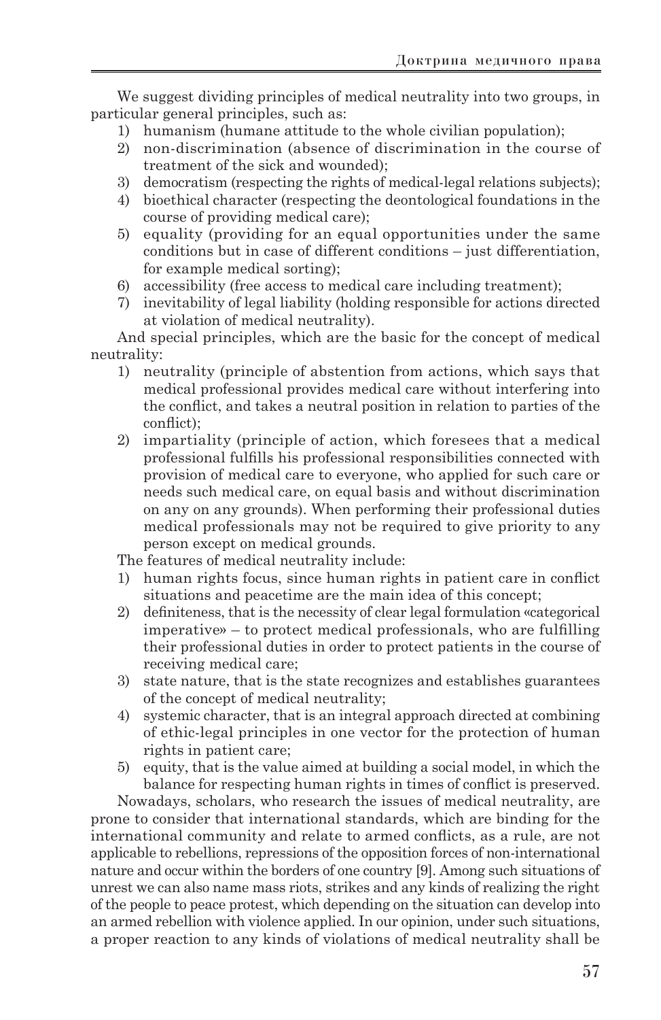We suggest dividing principles of medical neutrality into two groups, in particular general principles, such as:

- 1) humanism (humane attitude to the whole civilian population);
- 2) non-discrimination (absence of discrimination in the course of treatment of the sick and wounded);
- 3) democratism (respecting the rights of medical-legal relations subjects);
- 4) bioethical character (respecting the deontological foundations in the course of providing medical care);
- 5) equality (providing for an equal opportunities under the same conditions but in case of different conditions – just differentiation, for example medical sorting);
- 6) accessibility (free access to medical care including treatment);
- 7) inevitability of legal liability (holding responsible for actions directed at violation of medical neutrality).

And special principles, which are the basic for the concept of medical neutrality:

- 1) neutrality (principle of abstention from actions, which says that medical professional provides medical care without interfering into the conflict, and takes a neutral position in relation to parties of the conflict);
- 2) impartiality (principle of action, which foresees that a medical professional fulfills his professional responsibilities connected with provision of medical care to everyone, who applied for such care or needs such medical care, on equal basis and without discrimination on any on any grounds). When performing their professional duties medical professionals may not be required to give priority to any person except on medical grounds.

The features of medical neutrality include:

- 1) human rights focus, since human rights in patient care in conflict situations and peacetime are the main idea of this concept;
- 2) definiteness, that is the necessity of clear legal formulation «categorical imperative» – to protect medical professionals, who are fulfilling their professional duties in order to protect patients in the course of receiving medical care;
- 3) state nature, that is the state recognizes and establishes guarantees of the concept of medical neutrality;
- 4) systemic character, that is an integral approach directed at combining of ethic-legal principles in one vector for the protection of human rights in patient care;
- 5) equity, that is the value aimed at building a social model, in which the balance for respecting human rights in times of conflict is preserved.

Nowadays, scholars, who research the issues of medical neutrality, are prone to consider that international standards, which are binding for the international community and relate to armed conflicts, as a rule, are not applicable to rebellions, repressions of the opposition forces of non-international nature and occur within the borders of one country [9]. Among such situations of unrest we can also name mass riots, strikes and any kinds of realizing the right of the people to peace protest, which depending on the situation can develop into an armed rebellion with violence applied. In our opinion, under such situations, a proper reaction to any kinds of violations of medical neutrality shall be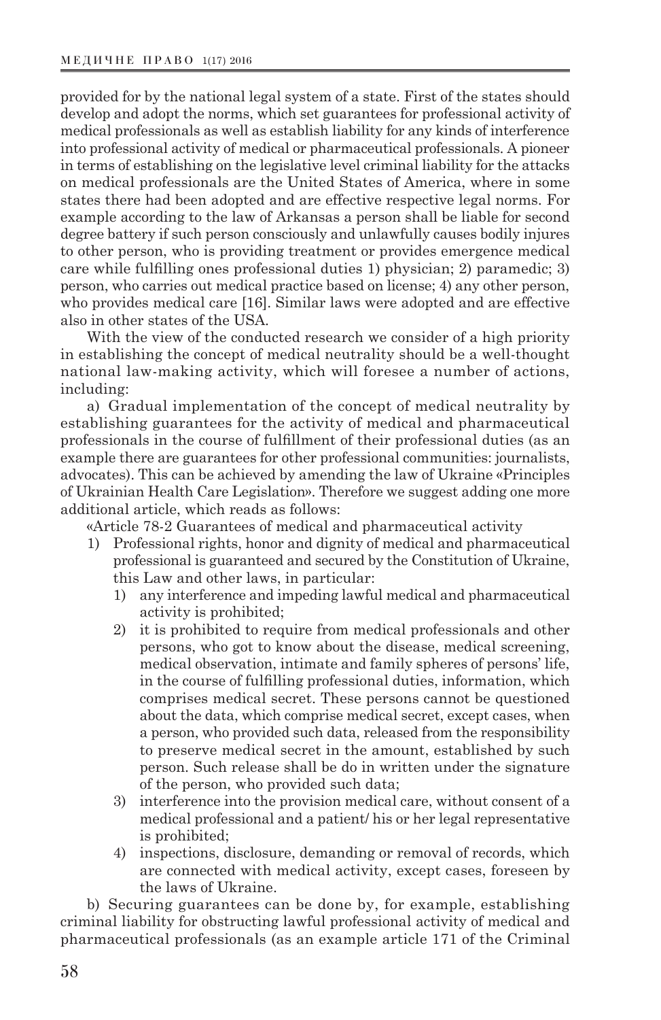provided for by the national legal system of a state. First of the states should develop and adopt the norms, which set guarantees for professional activity of medical professionals as well as establish liability for any kinds of interference into professional activity of medical or pharmaceutical professionals. A pioneer in terms of establishing on the legislative level criminal liability for the attacks on medical professionals are the United States of America, where in some states there had been adopted and are effective respective legal norms. For example according to the law of Arkansas a person shall be liable for second degree battery if such person consciously and unlawfully causes bodily injures to other person, who is providing treatment or provides emergence medical care while fulfilling ones professional duties 1) physician; 2) paramedic; 3) person, who carries out medical practice based on license; 4) any other person, who provides medical care [16]. Similar laws were adopted and are effective also in other states of the USA.

With the view of the conducted research we consider of a high priority in establishing the concept of medical neutrality should be a well-thought national law-making activity, which will foresee a number of actions, including:

a) Gradual implementation of the concept of medical neutrality by establishing guarantees for the activity of medical and pharmaceutical professionals in the course of fulfillment of their professional duties (as an example there are guarantees for other professional communities: journalists, advocates). This can be achieved by amending the law of Ukraine «Principles of Ukrainian Health Care Legislation». Therefore we suggest adding one more additional article, which reads as follows:

«Article 78-2 Guarantees of medical and pharmaceutical activity

- 1) Professional rights, honor and dignity of medical and pharmaceutical professional is guaranteed and secured by the Constitution of Ukraine, this Law and other laws, in particular:
	- 1) any interference and impeding lawful medical and pharmaceutical activity is prohibited;
	- 2) it is prohibited to require from medical professionals and other persons, who got to know about the disease, medical screening, medical observation, intimate and family spheres of persons' life, in the course of fulfilling professional duties, information, which comprises medical secret. These persons cannot be questioned about the data, which comprise medical secret, except cases, when a person, who provided such data, released from the responsibility to preserve medical secret in the amount, established by such person. Such release shall be do in written under the signature of the person, who provided such data;
	- 3) interference into the provision medical care, without consent of a medical professional and a patient/ his or her legal representative is prohibited;
	- 4) inspections, disclosure, demanding or removal of records, which are connected with medical activity, except cases, foreseen by the laws of Ukraine.

b) Securing guarantees can be done by, for example, establishing criminal liability for obstructing lawful professional activity of medical and pharmaceutical professionals (as an example article 171 of the Criminal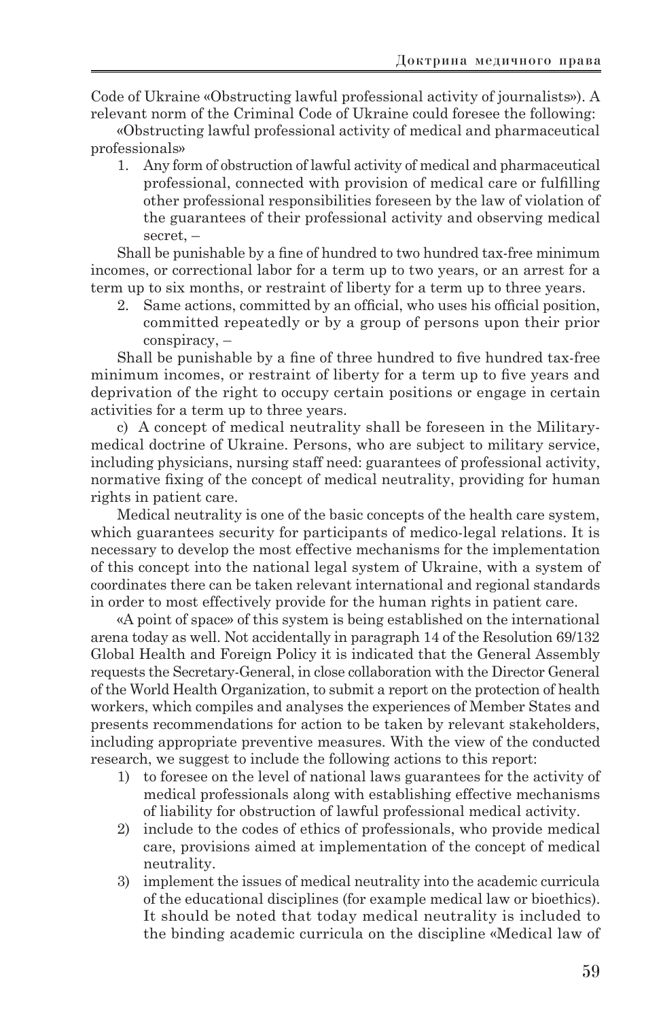Code of Ukraine «Obstructing lawful professional activity of journalists»). A relevant norm of the Criminal Code of Ukraine could foresee the following:

«Obstructing lawful professional activity of medical and pharmaceutical professionals»

1. Any form of obstruction of lawful activity of medical and pharmaceutical professional, connected with provision of medical care or fulfilling other professional responsibilities foreseen by the law of violation of the guarantees of their professional activity and observing medical secret, –

Shall be punishable by a fine of hundred to two hundred tax-free minimum incomes, or correctional labor for a term up to two years, or an arrest for a term up to six months, or restraint of liberty for a term up to three years.

2. Same actions, committed by an official, who uses his official position, committed repeatedly or by a group of persons upon their prior conspiracy, –

Shall be punishable by a fine of three hundred to five hundred tax-free minimum incomes, or restraint of liberty for a term up to five years and deprivation of the right to occupy certain positions or engage in certain activities for a term up to three years.

c) A concept of medical neutrality shall be foreseen in the Militarymedical doctrine of Ukraine. Persons, who are subject to military service, including physicians, nursing staff need: guarantees of professional activity, normative fixing of the concept of medical neutrality, providing for human rights in patient care.

Medical neutrality is one of the basic concepts of the health care system, which guarantees security for participants of medico-legal relations. It is necessary to develop the most effective mechanisms for the implementation of this concept into the national legal system of Ukraine, with a system of coordinates there can be taken relevant international and regional standards in order to most effectively provide for the human rights in patient care.

«A point of space» of this system is being established on the international arena today as well. Not accidentally in paragraph 14 of the Resolution 69/132 Global Health and Foreign Policy it is indicated that the General Assembly requests the Secretary-General, in close collaboration with the Director General of the World Health Organization, to submit a report on the protection of health workers, which compiles and analyses the experiences of Member States and presents recommendations for action to be taken by relevant stakeholders, including appropriate preventive measures. With the view of the conducted research, we suggest to include the following actions to this report:

- 1) to foresee on the level of national laws guarantees for the activity of medical professionals along with establishing effective mechanisms of liability for obstruction of lawful professional medical activity.
- 2) include to the codes of ethics of professionals, who provide medical care, provisions aimed at implementation of the concept of medical neutrality.
- 3) implement the issues of medical neutrality into the academic curricula of the educational disciplines (for example medical law or bioethics). It should be noted that today medical neutrality is included to the binding academic curricula on the discipline «Medical law of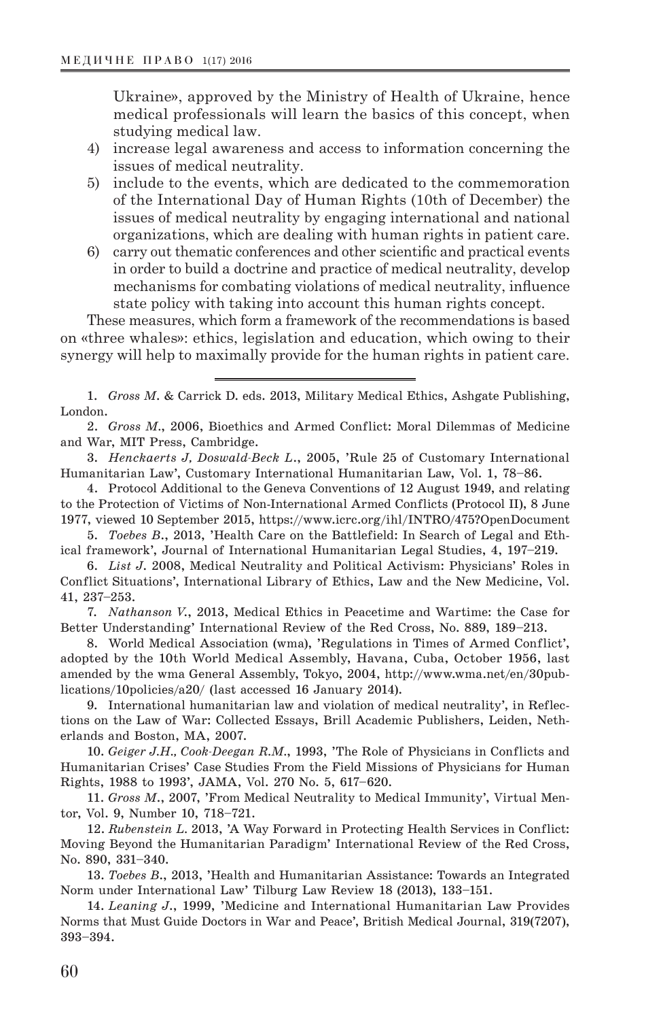Ukraine», approved by the Ministry of Health of Ukraine, hence medical professionals will learn the basics of this concept, when studying medical law.

- 4) increase legal awareness and access to information concerning the issues of medical neutrality.
- 5) include to the events, which are dedicated to the commemoration of the International Day of Human Rights (10th of December) the issues of medical neutrality by engaging international and national organizations, which are dealing with human rights in patient care.
- 6) carry out thematic conferences and other scientific and practical events in order to build a doctrine and practice of medical neutrality, develop mechanisms for combating violations of medical neutrality, influence state policy with taking into account this human rights concept.

These measures, which form a framework of the recommendations is based on «three whales»: ethics, legislation and education, which owing to their synergy will help to maximally provide for the human rights in patient care.

1. *Gross M*. & Carrick D. eds. 2013, Military Medical Ethics, Ashgate Publishing, London.

2. *Gross M.*, 2006, Bioethics and Armed Conflict: Moral Dilemmas of Medicine and War, MIT Press, Cambridge.

3. *Henckaerts J, Doswald-Beck L*., 2005, 'Rule 25 of Customary International Humanitarian Law', Customary International Humanitarian Law, Vol. 1, 78–86.

4. Protocol Additional to the Geneva Conventions of 12 August 1949, and relating to the Protection of Victims of Non-International Armed Conflicts (Protocol II), 8 June 1977, viewed 10 September 2015, https://www.icrc.org/ihl/INTRO/475?OpenDocument

5. *Toebes B*., 2013, 'Health Care on the Battlefield: In Search of Legal and Ethical framework', Journal of International Humanitarian Legal Studies, 4, 197–219.

6. *List J*. 2008, Medical Neutrality and Political Activism: Physicians' Roles in Conflict Situations', International Library of Ethics, Law and the New Medicine, Vol. 41, 237–253.

7. *Nathanson V*., 2013, Medical Ethics in Peacetime and Wartime: the Case for Better Understanding' International Review of the Red Cross, No. 889, 189–213.

8. World Medical Association (wma), 'Regulations in Times of Armed Conflict', adopted by the 10th World Medical Assembly, Havana, Cuba, October 1956, last amended by the wma General Assembly, Tokyo, 2004, http://www.wma.net/en/30publications/10policies/a20/ (last accessed 16 January 2014).

9. International humanitarian law and violation of medical neutrality', in Reflections on the Law of War: Collected Essays, Brill Academic Publishers, Leiden, Netherlands and Boston, MA, 2007.

10. *Geiger J.H., Cook-Deegan R.M.*, 1993, 'The Role of Physicians in Conflicts and Humanitarian Crises' Case Studies From the Field Missions of Physicians for Human Rights, 1988 to 1993', JAMA, Vol. 270 No. 5, 617–620.

11. *Gross M*., 2007, 'From Medical Neutrality to Medical Immunity', Virtual Mentor, Vol. 9, Number 10, 718–721.

12. *Rubenstein L.* 2013, 'A Way Forward in Protecting Health Services in Conflict: Moving Beyond the Humanitarian Paradigm' International Review of the Red Cross, No. 890, 331–340.

13. *Toebes B*., 2013, 'Health and Humanitarian Assistance: Towards an Integrated Norm under International Law' Tilburg Law Review 18 (2013), 133–151.

14. *Leaning J*., 1999, 'Medicine and International Humanitarian Law Provides Norms that Must Guide Doctors in War and Peace', British Medical Journal, 319(7207), 393–394.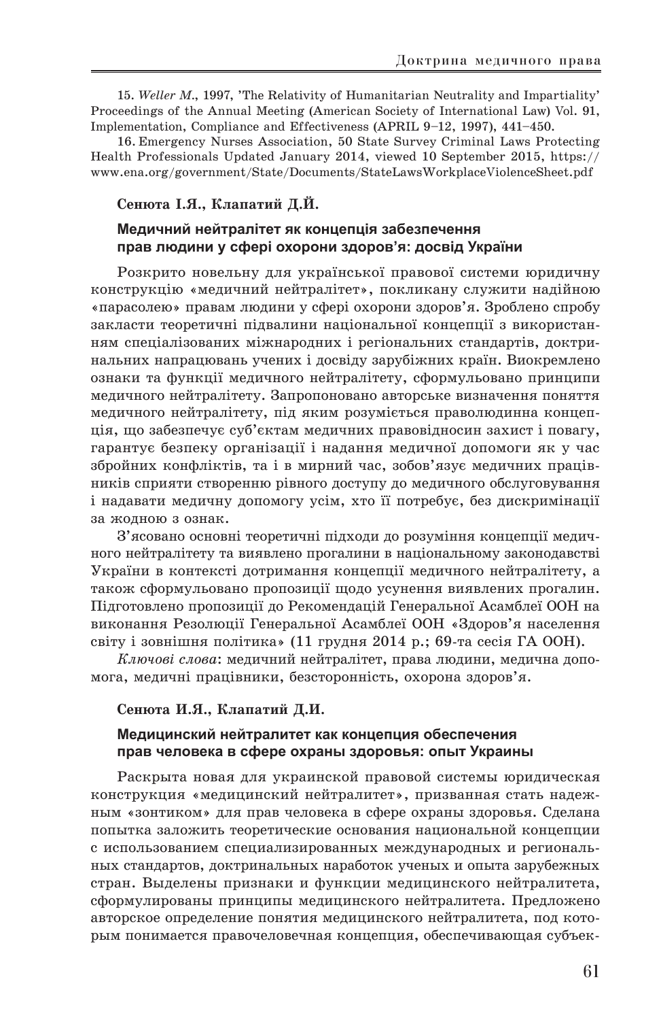15. *Weller M.*, 1997, 'The Relativity of Humanitarian Neutrality and Impartiality' Proceedings of the Annual Meeting (American Society of International Law) Vol. 91, Implementation, Compliance and Effectiveness (APRIL 9–12, 1997), 441–450.

16. Emergency Nurses Association, 50 State Survey Criminal Laws Protecting Health Professionals Updated January 2014, viewed 10 September 2015, https:// www.ena.org/government/State/Documents/StateLawsWorkplaceViolenceSheet.pdf

#### **Сенюта І.Я., Клапатий Д.Й.**

# **Медичний нейтралітет як концепція забезпечення прав людини у сфері охорони здоров'я: досвід України**

Розкрито новельну для української правової системи юридичну конструкцію «медичний нейтралітет», покликану служити надійною «парасолею» правам людини у сфері охорони здоров'я. Зроблено спробу закласти теоретичні підвалини національної концепції з використанням спеціалізованих міжнародних і регіональних стандартів, доктринальних напрацювань учених і досвіду зарубіжних країн. Виокремлено ознаки та функції медичного нейтралітету, сформульовано принципи медичного нейтралітету. Запропоновано авторське визначення поняття медичного нейтралітету, під яким розуміється праволюдинна концепція, що забезпечує суб'єктам медичних правовідносин захист і повагу, гарантує безпеку організації і надання медичної допомоги як у час збройних конфліктів, та і в мирний час, зобов'язує медичних працівників сприяти створенню рівного доступу до медичного обслуговування і надавати медичну допомогу усім, хто її потребує, без дискримінації за жодною з ознак.

З'ясовано основні теоретичні підходи до розуміння концепції медичного нейтралітету та виявлено прогалини в національному законодавстві України в контексті дотримання концепції медичного нейтралітету, а також сформульовано пропозиції щодо усунення виявлених прогалин. Підготовлено пропозиції до Рекомендацій Генеральної Асамблеї ООН на виконання Резолюції Генеральної Асамблеї ООН «Здоров'я населення світу і зовнішня політика» (11 грудня 2014 р.; 69-та сесія ГА ООН).

*Ключові слова*: медичний нейтралітет, права людини, медична допомога, медичні працівники, безсторонність, охорона здоров'я.

#### **Сенюта И.Я., Клапатий Д.И.**

# **Медицинский нейтралитет как концепция обеспечения прав человека в сфере охраны здоровья: опыт Украины**

Раскрыта новая для украинской правовой системы юридическая конструкция «медицинский нейтралитет», призванная стать надежным «зонтиком» для прав человека в сфере охраны здоровья. Сделана попытка заложить теоретические основания национальной концепции с использованием специализированных международных и региональных стандартов, доктринальных наработок ученых и опыта зарубежных стран. Выделены признаки и функции медицинского нейтралитета, сформулированы принципы медицинского нейтралитета. Предложено авторское определение понятия медицинского нейтралитета, под которым понимается правочеловечная концепция, обеспечивающая субъек